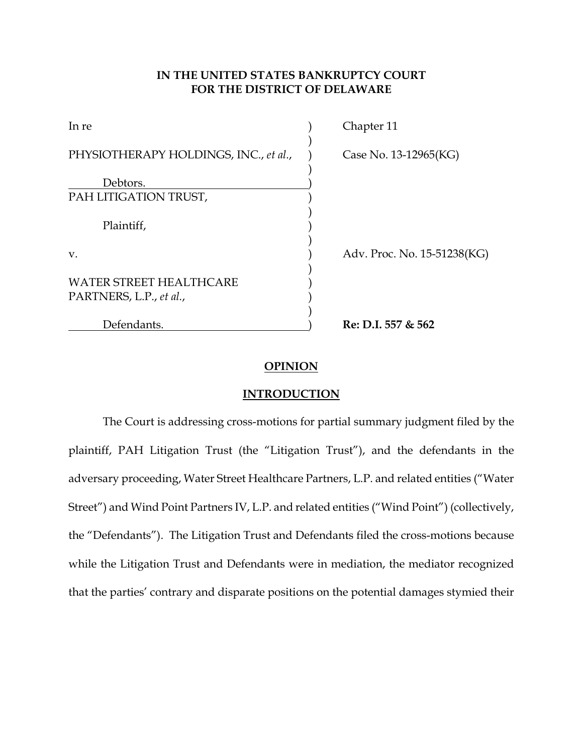# **IN THE UNITED STATES BANKRUPTCY COURT FOR THE DISTRICT OF DELAWARE**

| In re                                                     | Chapter 11                  |
|-----------------------------------------------------------|-----------------------------|
| PHYSIOTHERAPY HOLDINGS, INC., et al.,                     | Case No. 13-12965(KG)       |
| Debtors.                                                  |                             |
| PAH LITIGATION TRUST,                                     |                             |
| Plaintiff,                                                |                             |
| V.                                                        | Adv. Proc. No. 15-51238(KG) |
| <b>WATER STREET HEALTHCARE</b><br>PARTNERS, L.P., et al., |                             |
| Defendants.                                               | Re: D.I. 557 & 562          |

# **OPINION**

#### **INTRODUCTION**

The Court is addressing cross-motions for partial summary judgment filed by the plaintiff, PAH Litigation Trust (the "Litigation Trust"), and the defendants in the adversary proceeding, Water Street Healthcare Partners, L.P. and related entities ("Water Street") and Wind Point Partners IV, L.P. and related entities ("Wind Point") (collectively, the "Defendants"). The Litigation Trust and Defendants filed the cross-motions because while the Litigation Trust and Defendants were in mediation, the mediator recognized that the parties' contrary and disparate positions on the potential damages stymied their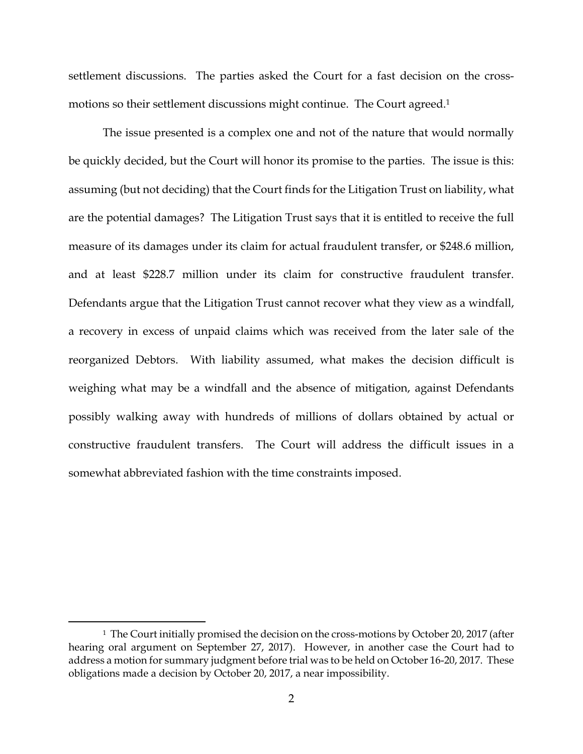settlement discussions. The parties asked the Court for a fast decision on the crossmotions so their settlement discussions might continue. The Court agreed.<sup>1</sup>

The issue presented is a complex one and not of the nature that would normally be quickly decided, but the Court will honor its promise to the parties. The issue is this: assuming (but not deciding) that the Court finds for the Litigation Trust on liability, what are the potential damages? The Litigation Trust says that it is entitled to receive the full measure of its damages under its claim for actual fraudulent transfer, or \$248.6 million, and at least \$228.7 million under its claim for constructive fraudulent transfer. Defendants argue that the Litigation Trust cannot recover what they view as a windfall, a recovery in excess of unpaid claims which was received from the later sale of the reorganized Debtors. With liability assumed, what makes the decision difficult is weighing what may be a windfall and the absence of mitigation, against Defendants possibly walking away with hundreds of millions of dollars obtained by actual or constructive fraudulent transfers. The Court will address the difficult issues in a somewhat abbreviated fashion with the time constraints imposed.

<sup>&</sup>lt;sup>1</sup> The Court initially promised the decision on the cross-motions by October 20, 2017 (after hearing oral argument on September 27, 2017). However, in another case the Court had to address a motion for summary judgment before trial was to be held on October 16-20, 2017. These obligations made a decision by October 20, 2017, a near impossibility.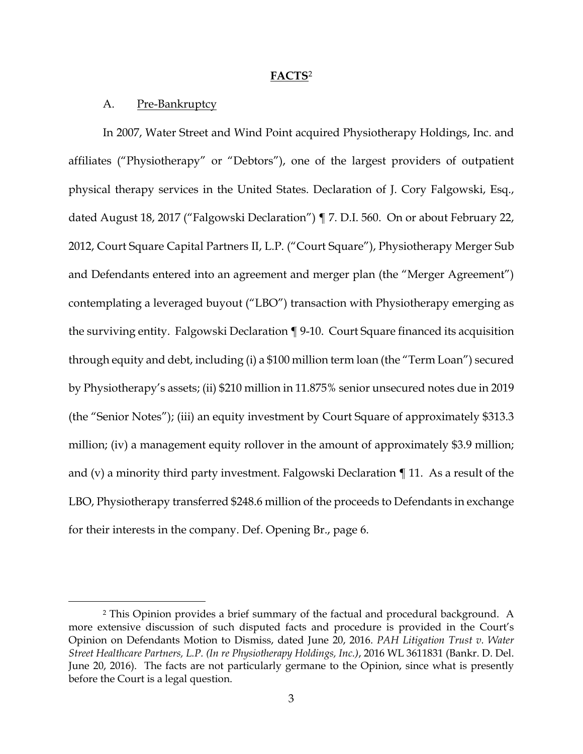#### **FACTS**<sup>2</sup>

## A. Pre-Bankruptcy

In 2007, Water Street and Wind Point acquired Physiotherapy Holdings, Inc. and affiliates ("Physiotherapy" or "Debtors"), one of the largest providers of outpatient physical therapy services in the United States. Declaration of J. Cory Falgowski, Esq., dated August 18, 2017 ("Falgowski Declaration") ¶ 7. D.I. 560. On or about February 22, 2012, Court Square Capital Partners II, L.P. ("Court Square"), Physiotherapy Merger Sub and Defendants entered into an agreement and merger plan (the "Merger Agreement") contemplating a leveraged buyout ("LBO") transaction with Physiotherapy emerging as the surviving entity. Falgowski Declaration ¶ 9-10. Court Square financed its acquisition through equity and debt, including (i) a \$100 million term loan (the "Term Loan") secured by Physiotherapy's assets; (ii) \$210 million in 11.875% senior unsecured notes due in 2019 (the "Senior Notes"); (iii) an equity investment by Court Square of approximately \$313.3 million; (iv) a management equity rollover in the amount of approximately \$3.9 million; and (v) a minority third party investment. Falgowski Declaration ¶ 11. As a result of the LBO, Physiotherapy transferred \$248.6 million of the proceeds to Defendants in exchange for their interests in the company. Def. Opening Br., page 6.

 <sup>2</sup> This Opinion provides a brief summary of the factual and procedural background. A more extensive discussion of such disputed facts and procedure is provided in the Court's Opinion on Defendants Motion to Dismiss, dated June 20, 2016. *PAH Litigation Trust v. Water Street Healthcare Partners, L.P. (In re Physiotherapy Holdings, Inc.)*, 2016 WL 3611831 (Bankr. D. Del. June 20, 2016). The facts are not particularly germane to the Opinion, since what is presently before the Court is a legal question.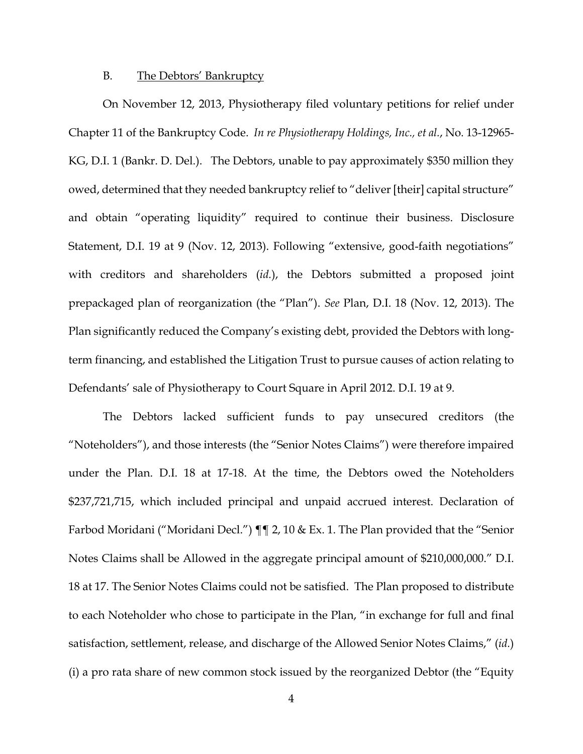### B. The Debtors' Bankruptcy

On November 12, 2013, Physiotherapy filed voluntary petitions for relief under Chapter 11 of the Bankruptcy Code. *In re Physiotherapy Holdings, Inc., et al.*, No. 13-12965- KG, D.I. 1 (Bankr. D. Del.). The Debtors, unable to pay approximately \$350 million they owed, determined that they needed bankruptcy relief to "deliver [their] capital structure" and obtain "operating liquidity" required to continue their business. Disclosure Statement, D.I. 19 at 9 (Nov. 12, 2013). Following "extensive, good-faith negotiations" with creditors and shareholders (*id.*), the Debtors submitted a proposed joint prepackaged plan of reorganization (the "Plan"). *See* Plan, D.I. 18 (Nov. 12, 2013). The Plan significantly reduced the Company's existing debt, provided the Debtors with longterm financing, and established the Litigation Trust to pursue causes of action relating to Defendants' sale of Physiotherapy to Court Square in April 2012. D.I. 19 at 9.

 The Debtors lacked sufficient funds to pay unsecured creditors (the "Noteholders"), and those interests (the "Senior Notes Claims") were therefore impaired under the Plan. D.I. 18 at 17-18. At the time, the Debtors owed the Noteholders \$237,721,715, which included principal and unpaid accrued interest. Declaration of Farbod Moridani ("Moridani Decl.")  $\P\P$  2, 10 & Ex. 1. The Plan provided that the "Senior Notes Claims shall be Allowed in the aggregate principal amount of \$210,000,000." D.I. 18 at 17. The Senior Notes Claims could not be satisfied. The Plan proposed to distribute to each Noteholder who chose to participate in the Plan, "in exchange for full and final satisfaction, settlement, release, and discharge of the Allowed Senior Notes Claims," (*id.*) (i) a pro rata share of new common stock issued by the reorganized Debtor (the "Equity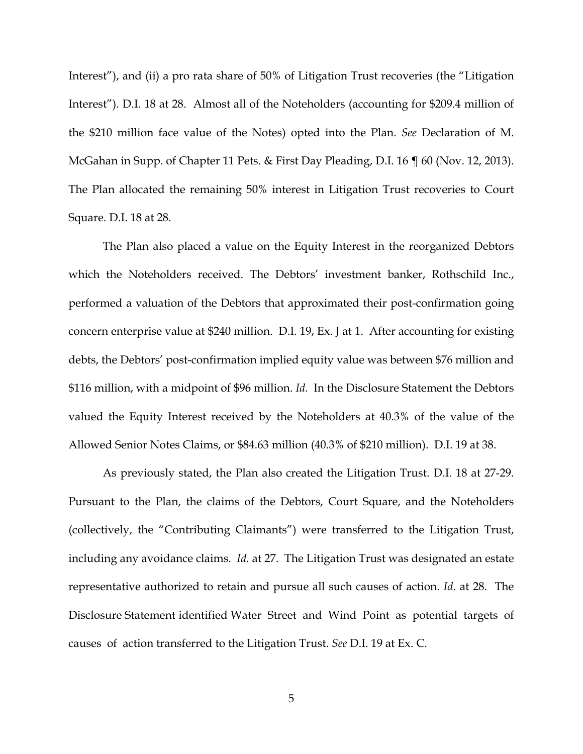Interest"), and (ii) a pro rata share of 50% of Litigation Trust recoveries (the "Litigation Interest"). D.I. 18 at 28. Almost all of the Noteholders (accounting for \$209.4 million of the \$210 million face value of the Notes) opted into the Plan. *See* Declaration of M. McGahan in Supp. of Chapter 11 Pets. & First Day Pleading, D.I. 16 ¶ 60 (Nov. 12, 2013). The Plan allocated the remaining 50% interest in Litigation Trust recoveries to Court Square. D.I. 18 at 28.

 The Plan also placed a value on the Equity Interest in the reorganized Debtors which the Noteholders received. The Debtors' investment banker, Rothschild Inc., performed a valuation of the Debtors that approximated their post-confirmation going concern enterprise value at \$240 million. D.I. 19, Ex. J at 1. After accounting for existing debts, the Debtors' post-confirmation implied equity value was between \$76 million and \$116 million, with a midpoint of \$96 million. *Id.* In the Disclosure Statement the Debtors valued the Equity Interest received by the Noteholders at 40.3% of the value of the Allowed Senior Notes Claims, or \$84.63 million (40.3% of \$210 million). D.I. 19 at 38.

 As previously stated, the Plan also created the Litigation Trust. D.I. 18 at 27-29. Pursuant to the Plan, the claims of the Debtors, Court Square, and the Noteholders (collectively, the "Contributing Claimants") were transferred to the Litigation Trust, including any avoidance claims. *Id.* at 27. The Litigation Trust was designated an estate representative authorized to retain and pursue all such causes of action. *Id.* at 28. The Disclosure Statement identified Water Street and Wind Point as potential targets of causes of action transferred to the Litigation Trust. *See* D.I. 19 at Ex. C.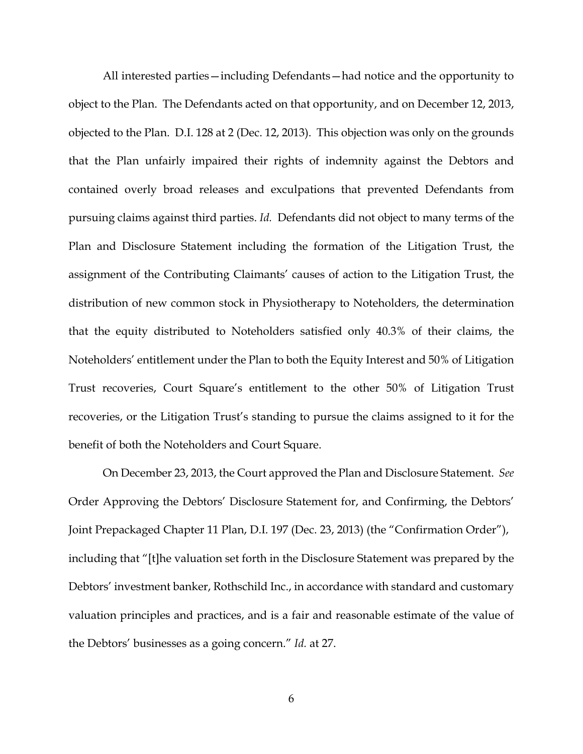All interested parties—including Defendants—had notice and the opportunity to object to the Plan. The Defendants acted on that opportunity, and on December 12, 2013, objected to the Plan. D.I. 128 at 2 (Dec. 12, 2013). This objection was only on the grounds that the Plan unfairly impaired their rights of indemnity against the Debtors and contained overly broad releases and exculpations that prevented Defendants from pursuing claims against third parties. *Id.* Defendants did not object to many terms of the Plan and Disclosure Statement including the formation of the Litigation Trust, the assignment of the Contributing Claimants' causes of action to the Litigation Trust, the distribution of new common stock in Physiotherapy to Noteholders, the determination that the equity distributed to Noteholders satisfied only 40.3% of their claims, the Noteholders' entitlement under the Plan to both the Equity Interest and 50% of Litigation Trust recoveries, Court Square's entitlement to the other 50% of Litigation Trust recoveries, or the Litigation Trust's standing to pursue the claims assigned to it for the benefit of both the Noteholders and Court Square.

 On December 23, 2013, the Court approved the Plan and Disclosure Statement. *See* Order Approving the Debtors' Disclosure Statement for, and Confirming, the Debtors' Joint Prepackaged Chapter 11 Plan, D.I. 197 (Dec. 23, 2013) (the "Confirmation Order"), including that "[t]he valuation set forth in the Disclosure Statement was prepared by the Debtors' investment banker, Rothschild Inc., in accordance with standard and customary valuation principles and practices, and is a fair and reasonable estimate of the value of the Debtors' businesses as a going concern." *Id.* at 27.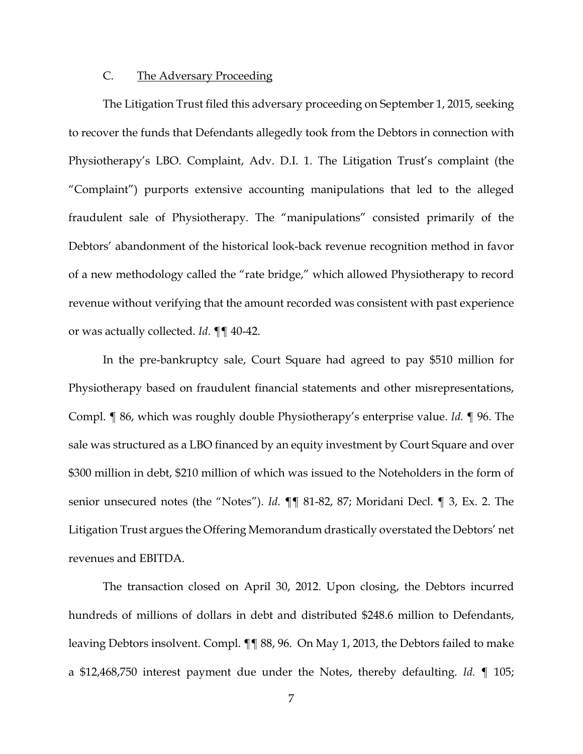# C. The Adversary Proceeding

 The Litigation Trust filed this adversary proceeding on September 1, 2015, seeking to recover the funds that Defendants allegedly took from the Debtors in connection with Physiotherapy's LBO. Complaint, Adv. D.I. 1. The Litigation Trust's complaint (the "Complaint") purports extensive accounting manipulations that led to the alleged fraudulent sale of Physiotherapy. The "manipulations" consisted primarily of the Debtors' abandonment of the historical look-back revenue recognition method in favor of a new methodology called the "rate bridge," which allowed Physiotherapy to record revenue without verifying that the amount recorded was consistent with past experience or was actually collected. *Id.* ¶¶ 40-42.

 In the pre-bankruptcy sale, Court Square had agreed to pay \$510 million for Physiotherapy based on fraudulent financial statements and other misrepresentations, Compl. ¶ 86, which was roughly double Physiotherapy's enterprise value. *Id.* ¶ 96. The sale was structured as a LBO financed by an equity investment by Court Square and over \$300 million in debt, \$210 million of which was issued to the Noteholders in the form of senior unsecured notes (the "Notes"). *Id.* ¶¶ 81-82, 87; Moridani Decl. ¶ 3, Ex. 2. The Litigation Trust argues the Offering Memorandum drastically overstated the Debtors' net revenues and EBITDA.

 The transaction closed on April 30, 2012. Upon closing, the Debtors incurred hundreds of millions of dollars in debt and distributed \$248.6 million to Defendants, leaving Debtors insolvent. Compl. ¶¶ 88, 96. On May 1, 2013, the Debtors failed to make a \$12,468,750 interest payment due under the Notes, thereby defaulting. *Id.* ¶ 105;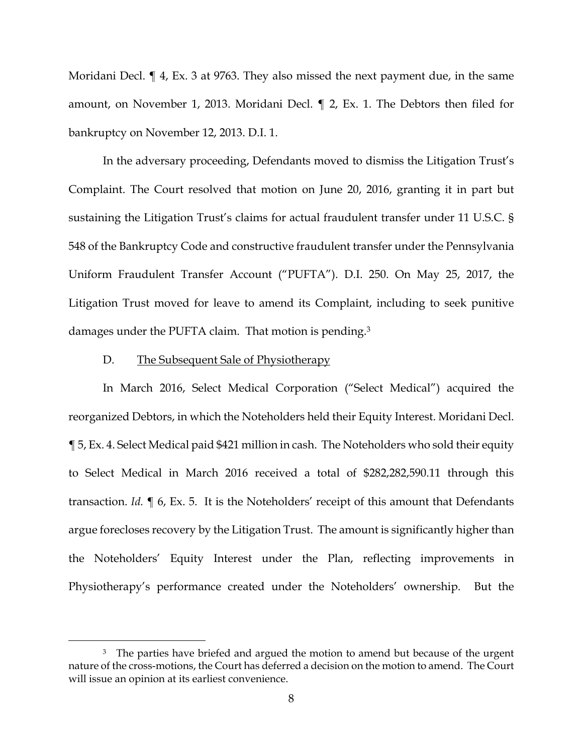Moridani Decl.  $\P$  4, Ex. 3 at 9763. They also missed the next payment due, in the same amount, on November 1, 2013. Moridani Decl. ¶ 2, Ex. 1. The Debtors then filed for bankruptcy on November 12, 2013. D.I. 1.

 In the adversary proceeding, Defendants moved to dismiss the Litigation Trust's Complaint. The Court resolved that motion on June 20, 2016, granting it in part but sustaining the Litigation Trust's claims for actual fraudulent transfer under 11 U.S.C. § 548 of the Bankruptcy Code and constructive fraudulent transfer under the Pennsylvania Uniform Fraudulent Transfer Account ("PUFTA"). D.I. 250. On May 25, 2017, the Litigation Trust moved for leave to amend its Complaint, including to seek punitive damages under the PUFTA claim. That motion is pending.<sup>3</sup>

#### D. The Subsequent Sale of Physiotherapy

 In March 2016, Select Medical Corporation ("Select Medical") acquired the reorganized Debtors, in which the Noteholders held their Equity Interest. Moridani Decl. ¶ 5, Ex. 4. Select Medical paid \$421 million in cash. The Noteholders who sold their equity to Select Medical in March 2016 received a total of \$282,282,590.11 through this transaction. *Id.* ¶ 6, Ex. 5. It is the Noteholders' receipt of this amount that Defendants argue forecloses recovery by the Litigation Trust. The amount is significantly higher than the Noteholders' Equity Interest under the Plan, reflecting improvements in Physiotherapy's performance created under the Noteholders' ownership. But the

<sup>&</sup>lt;sup>3</sup> The parties have briefed and argued the motion to amend but because of the urgent nature of the cross-motions, the Court has deferred a decision on the motion to amend. The Court will issue an opinion at its earliest convenience.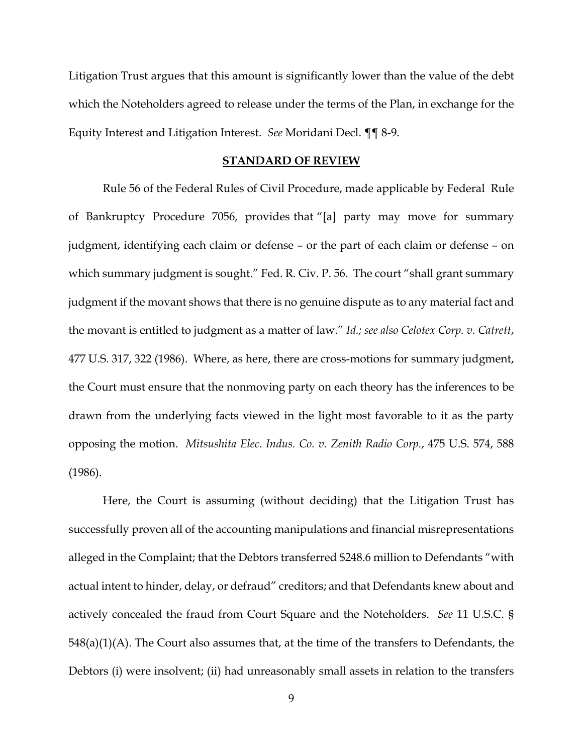Litigation Trust argues that this amount is significantly lower than the value of the debt which the Noteholders agreed to release under the terms of the Plan, in exchange for the Equity Interest and Litigation Interest. *See* Moridani Decl. ¶¶ 8-9.

## **STANDARD OF REVIEW**

 Rule 56 of the Federal Rules of Civil Procedure, made applicable by Federal Rule of Bankruptcy Procedure 7056, provides that "[a] party may move for summary judgment, identifying each claim or defense – or the part of each claim or defense – on which summary judgment is sought." Fed. R. Civ. P. 56. The court "shall grant summary judgment if the movant shows that there is no genuine dispute as to any material fact and the movant is entitled to judgment as a matter of law." *Id.; see also Celotex Corp. v. Catrett*, 477 U.S. 317, 322 (1986). Where, as here, there are cross-motions for summary judgment, the Court must ensure that the nonmoving party on each theory has the inferences to be drawn from the underlying facts viewed in the light most favorable to it as the party opposing the motion. *Mitsushita Elec. Indus. Co. v. Zenith Radio Corp.*, 475 U.S. 574, 588 (1986).

 Here, the Court is assuming (without deciding) that the Litigation Trust has successfully proven all of the accounting manipulations and financial misrepresentations alleged in the Complaint; that the Debtors transferred \$248.6 million to Defendants "with actual intent to hinder, delay, or defraud" creditors; and that Defendants knew about and actively concealed the fraud from Court Square and the Noteholders. *See* 11 U.S.C. § 548(a)(1)(A). The Court also assumes that, at the time of the transfers to Defendants, the Debtors (i) were insolvent; (ii) had unreasonably small assets in relation to the transfers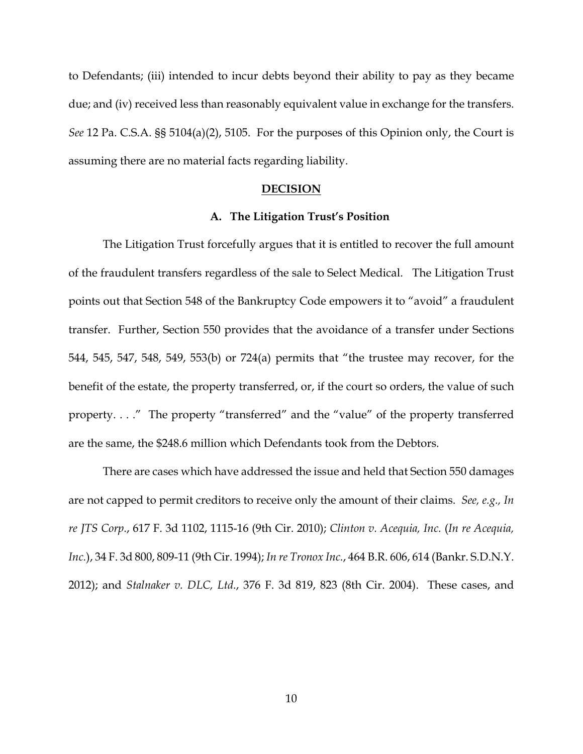to Defendants; (iii) intended to incur debts beyond their ability to pay as they became due; and (iv) received less than reasonably equivalent value in exchange for the transfers. *See* 12 Pa. C.S.A. §§ 5104(a)(2), 5105. For the purposes of this Opinion only, the Court is assuming there are no material facts regarding liability.

#### **DECISION**

### **A. The Litigation Trust's Position**

 The Litigation Trust forcefully argues that it is entitled to recover the full amount of the fraudulent transfers regardless of the sale to Select Medical. The Litigation Trust points out that Section 548 of the Bankruptcy Code empowers it to "avoid" a fraudulent transfer. Further, Section 550 provides that the avoidance of a transfer under Sections 544, 545, 547, 548, 549, 553(b) or 724(a) permits that "the trustee may recover, for the benefit of the estate, the property transferred, or, if the court so orders, the value of such property. . . ." The property "transferred" and the "value" of the property transferred are the same, the \$248.6 million which Defendants took from the Debtors.

 There are cases which have addressed the issue and held that Section 550 damages are not capped to permit creditors to receive only the amount of their claims. *See, e.g., In re JTS Corp.*, 617 F. 3d 1102, 1115-16 (9th Cir. 2010); *Clinton v. Acequia, Inc.* (*In re Acequia, Inc.*), 34 F. 3d 800, 809-11 (9th Cir. 1994); *In re Tronox Inc.*, 464 B.R. 606, 614 (Bankr. S.D.N.Y. 2012); and *Stalnaker v. DLC, Ltd.*, 376 F. 3d 819, 823 (8th Cir. 2004). These cases, and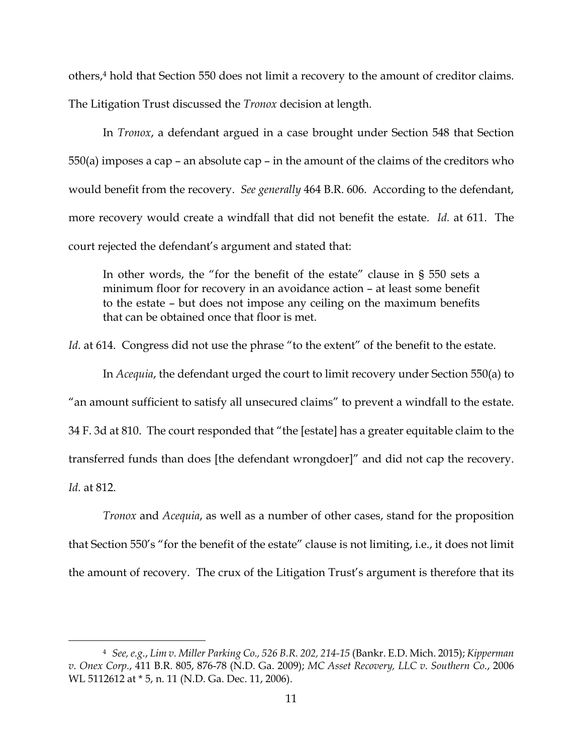others,4 hold that Section 550 does not limit a recovery to the amount of creditor claims.

The Litigation Trust discussed the *Tronox* decision at length.

 In *Tronox*, a defendant argued in a case brought under Section 548 that Section  $550(a)$  imposes a cap – an absolute cap – in the amount of the claims of the creditors who would benefit from the recovery. *See generally* 464 B.R. 606. According to the defendant, more recovery would create a windfall that did not benefit the estate. *Id.* at 611. The court rejected the defendant's argument and stated that:

In other words, the "for the benefit of the estate" clause in § 550 sets a minimum floor for recovery in an avoidance action – at least some benefit to the estate – but does not impose any ceiling on the maximum benefits that can be obtained once that floor is met.

Id. at 614. Congress did not use the phrase "to the extent" of the benefit to the estate.

 In *Acequia*, the defendant urged the court to limit recovery under Section 550(a) to "an amount sufficient to satisfy all unsecured claims" to prevent a windfall to the estate. 34 F. 3d at 810. The court responded that "the [estate] has a greater equitable claim to the transferred funds than does [the defendant wrongdoer]" and did not cap the recovery. *Id.* at 812.

*Tronox* and *Acequia*, as well as a number of other cases, stand for the proposition that Section 550's "for the benefit of the estate" clause is not limiting, i.e., it does not limit the amount of recovery. The crux of the Litigation Trust's argument is therefore that its

 <sup>4</sup> *See,e.g.*, *Lim v. Miller Parking Co., 526 B.R. 202, 214-15* (Bankr. E.D. Mich. 2015); *Kipperman v. Onex Corp.*, 411 B.R. 805, 876-78 (N.D. Ga. 2009); *MC Asset Recovery, LLC v. Southern Co.*, 2006 WL 5112612 at \* 5, n. 11 (N.D. Ga. Dec. 11, 2006).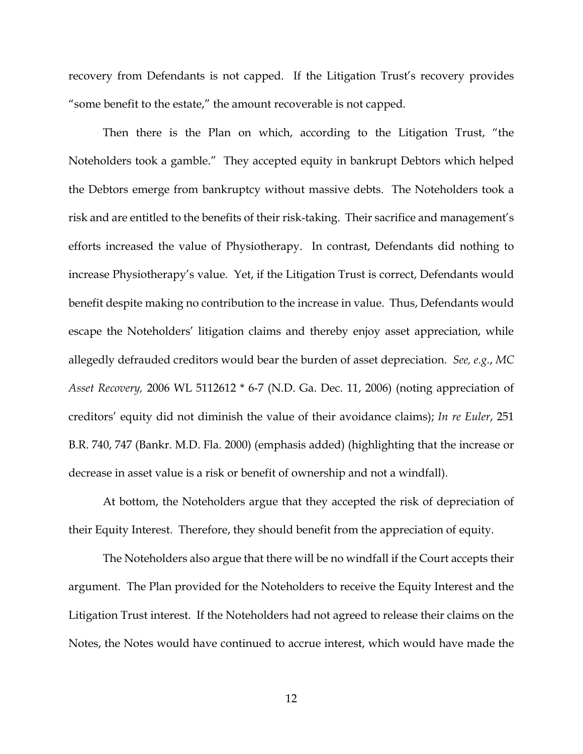recovery from Defendants is not capped. If the Litigation Trust's recovery provides "some benefit to the estate," the amount recoverable is not capped.

 Then there is the Plan on which, according to the Litigation Trust, "the Noteholders took a gamble." They accepted equity in bankrupt Debtors which helped the Debtors emerge from bankruptcy without massive debts. The Noteholders took a risk and are entitled to the benefits of their risk-taking. Their sacrifice and management's efforts increased the value of Physiotherapy. In contrast, Defendants did nothing to increase Physiotherapy's value. Yet, if the Litigation Trust is correct, Defendants would benefit despite making no contribution to the increase in value. Thus, Defendants would escape the Noteholders' litigation claims and thereby enjoy asset appreciation, while allegedly defrauded creditors would bear the burden of asset depreciation. *See, e.g.*, *MC Asset Recovery,* 2006 WL 5112612 \* 6-7 (N.D. Ga. Dec. 11, 2006) (noting appreciation of creditors' equity did not diminish the value of their avoidance claims); *In re Euler*, 251 B.R. 740, 747 (Bankr. M.D. Fla. 2000) (emphasis added) (highlighting that the increase or decrease in asset value is a risk or benefit of ownership and not a windfall).

 At bottom, the Noteholders argue that they accepted the risk of depreciation of their Equity Interest. Therefore, they should benefit from the appreciation of equity.

 The Noteholders also argue that there will be no windfall if the Court accepts their argument. The Plan provided for the Noteholders to receive the Equity Interest and the Litigation Trust interest. If the Noteholders had not agreed to release their claims on the Notes, the Notes would have continued to accrue interest, which would have made the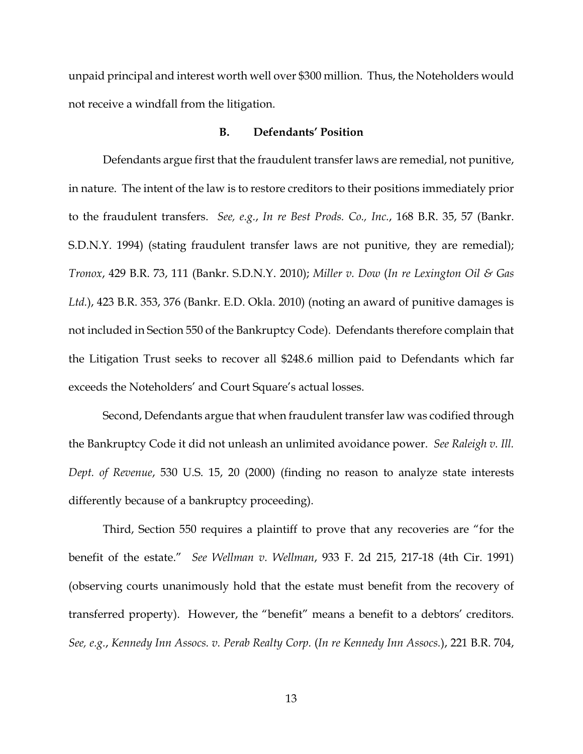unpaid principal and interest worth well over \$300 million. Thus, the Noteholders would not receive a windfall from the litigation.

## **B. Defendants' Position**

 Defendants argue first that the fraudulent transfer laws are remedial, not punitive, in nature. The intent of the law is to restore creditors to their positions immediately prior to the fraudulent transfers. *See, e.g.*, *In re Best Prods. Co., Inc.*, 168 B.R. 35, 57 (Bankr. S.D.N.Y. 1994) (stating fraudulent transfer laws are not punitive, they are remedial); *Tronox*, 429 B.R. 73, 111 (Bankr. S.D.N.Y. 2010); *Miller v. Dow* (*In re Lexington Oil & Gas Ltd.*), 423 B.R. 353, 376 (Bankr. E.D. Okla. 2010) (noting an award of punitive damages is not included in Section 550 of the Bankruptcy Code). Defendants therefore complain that the Litigation Trust seeks to recover all \$248.6 million paid to Defendants which far exceeds the Noteholders' and Court Square's actual losses.

 Second, Defendants argue that when fraudulent transfer law was codified through the Bankruptcy Code it did not unleash an unlimited avoidance power. *See Raleigh v. Ill. Dept. of Revenue*, 530 U.S. 15, 20 (2000) (finding no reason to analyze state interests differently because of a bankruptcy proceeding).

 Third, Section 550 requires a plaintiff to prove that any recoveries are "for the benefit of the estate." *See Wellman v. Wellman*, 933 F. 2d 215, 217-18 (4th Cir. 1991) (observing courts unanimously hold that the estate must benefit from the recovery of transferred property). However, the "benefit" means a benefit to a debtors' creditors. *See, e.g.*, *Kennedy Inn Assocs. v. Perab Realty Corp.* (*In re Kennedy Inn Assocs.*), 221 B.R. 704,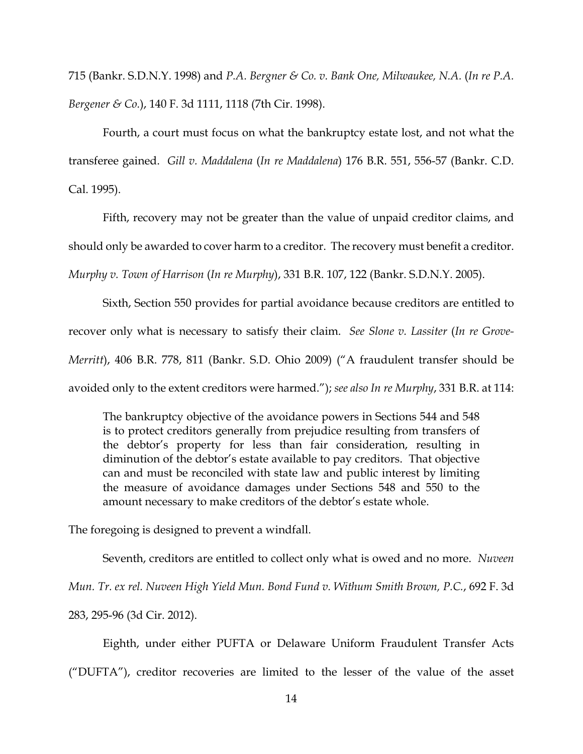715 (Bankr. S.D.N.Y. 1998) and *P.A. Bergner & Co. v. Bank One, Milwaukee, N.A.* (*In re P.A. Bergener & Co.*), 140 F. 3d 1111, 1118 (7th Cir. 1998).

 Fourth, a court must focus on what the bankruptcy estate lost, and not what the transferee gained. *Gill v. Maddalena* (*In re Maddalena*) 176 B.R. 551, 556-57 (Bankr. C.D. Cal. 1995).

 Fifth, recovery may not be greater than the value of unpaid creditor claims, and should only be awarded to cover harm to a creditor. The recovery must benefit a creditor. *Murphy v. Town of Harrison* (*In re Murphy*), 331 B.R. 107, 122 (Bankr. S.D.N.Y. 2005).

 Sixth, Section 550 provides for partial avoidance because creditors are entitled to recover only what is necessary to satisfy their claim. *See Slone v. Lassiter* (*In re Grove-Merritt*), 406 B.R. 778, 811 (Bankr. S.D. Ohio 2009) ("A fraudulent transfer should be avoided only to the extent creditors were harmed."); *see also In re Murphy*, 331 B.R. at 114:

The bankruptcy objective of the avoidance powers in Sections 544 and 548 is to protect creditors generally from prejudice resulting from transfers of the debtor's property for less than fair consideration, resulting in diminution of the debtor's estate available to pay creditors. That objective can and must be reconciled with state law and public interest by limiting the measure of avoidance damages under Sections 548 and 550 to the amount necessary to make creditors of the debtor's estate whole.

The foregoing is designed to prevent a windfall.

Seventh, creditors are entitled to collect only what is owed and no more. *Nuveen* 

*Mun. Tr. ex rel. Nuveen High Yield Mun. Bond Fund v. Withum Smith Brown, P.C.*, 692 F. 3d

283, 295-96 (3d Cir. 2012).

 Eighth, under either PUFTA or Delaware Uniform Fraudulent Transfer Acts ("DUFTA"), creditor recoveries are limited to the lesser of the value of the asset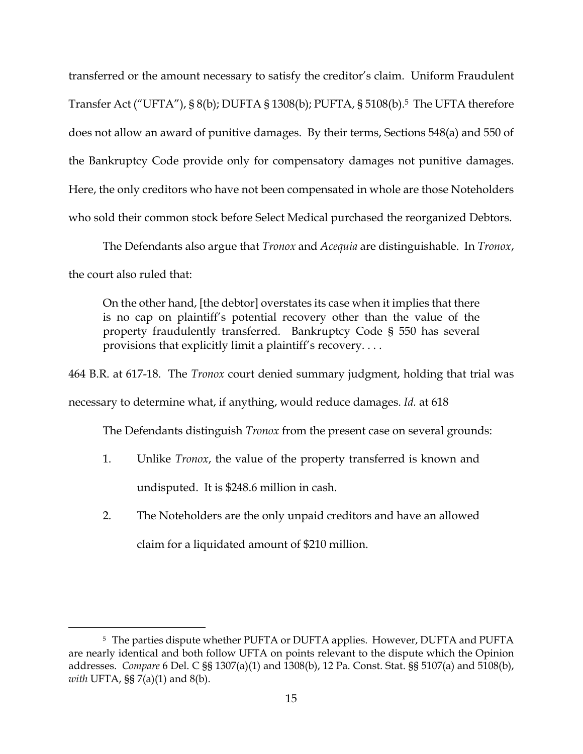transferred or the amount necessary to satisfy the creditor's claim. Uniform Fraudulent Transfer Act ("UFTA"), § 8(b); DUFTA § 1308(b); PUFTA, § 5108(b).5 The UFTA therefore does not allow an award of punitive damages. By their terms, Sections 548(a) and 550 of the Bankruptcy Code provide only for compensatory damages not punitive damages. Here, the only creditors who have not been compensated in whole are those Noteholders who sold their common stock before Select Medical purchased the reorganized Debtors.

 The Defendants also argue that *Tronox* and *Acequia* are distinguishable. In *Tronox*, the court also ruled that:

On the other hand, [the debtor] overstates its case when it implies that there is no cap on plaintiff's potential recovery other than the value of the property fraudulently transferred. Bankruptcy Code § 550 has several provisions that explicitly limit a plaintiff's recovery. . . .

464 B.R. at 617-18. The *Tronox* court denied summary judgment, holding that trial was necessary to determine what, if anything, would reduce damages. *Id.* at 618

The Defendants distinguish *Tronox* from the present case on several grounds:

- 1. Unlike *Tronox*, the value of the property transferred is known and undisputed. It is \$248.6 million in cash.
- 2. The Noteholders are the only unpaid creditors and have an allowed claim for a liquidated amount of \$210 million.

 <sup>5</sup> The parties dispute whether PUFTA or DUFTA applies. However, DUFTA and PUFTA are nearly identical and both follow UFTA on points relevant to the dispute which the Opinion addresses. *Compare* 6 Del. C §§ 1307(a)(1) and 1308(b), 12 Pa. Const. Stat. §§ 5107(a) and 5108(b), *with* UFTA, §§ 7(a)(1) and 8(b).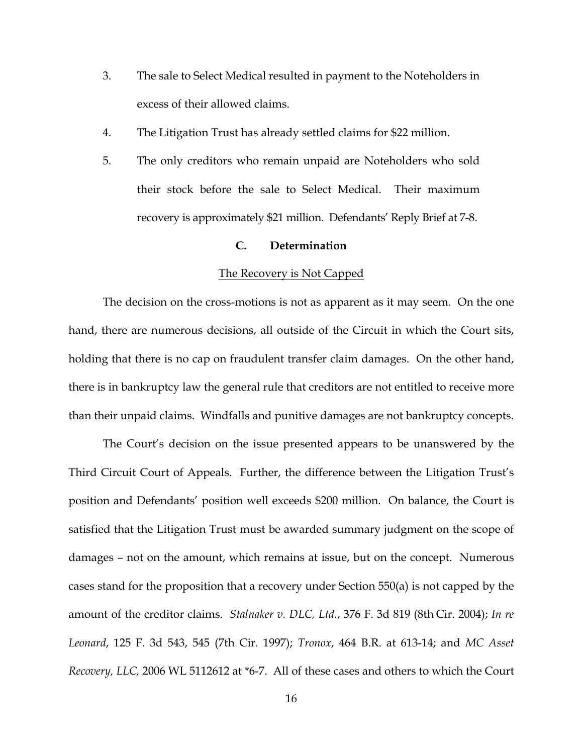- 3. The sale to Select Medical resulted in payment to the Noteholders in excess of their allowed claims.
- 4. The Litigation Trust has already settled claims for \$22 million.
- 5. The only creditors who remain unpaid are Noteholders who sold their stock before the sale to Select Medical. Their maximum recovery is approximately \$21 million. Defendants' Reply Brief at 7-8.

## **C. Determination**

### The Recovery is Not Capped

 The decision on the cross-motions is not as apparent as it may seem. On the one hand, there are numerous decisions, all outside of the Circuit in which the Court sits, holding that there is no cap on fraudulent transfer claim damages. On the other hand, there is in bankruptcy law the general rule that creditors are not entitled to receive more than their unpaid claims. Windfalls and punitive damages are not bankruptcy concepts.

 The Court's decision on the issue presented appears to be unanswered by the Third Circuit Court of Appeals. Further, the difference between the Litigation Trust's position and Defendants' position well exceeds \$200 million. On balance, the Court is satisfied that the Litigation Trust must be awarded summary judgment on the scope of damages – not on the amount, which remains at issue, but on the concept. Numerous cases stand for the proposition that a recovery under Section 550(a) is not capped by the amount of the creditor claims. *Stalnaker v. DLC, Ltd.*, 376 F. 3d 819 (8th Cir. 2004); *In re Leonard*, 125 F. 3d 543, 545 (7th Cir. 1997); *Tronox*, 464 B.R. at 613-14; and *MC Asset Recovery, LLC,* 2006 WL 5112612 at \*6-7. All of these cases and others to which the Court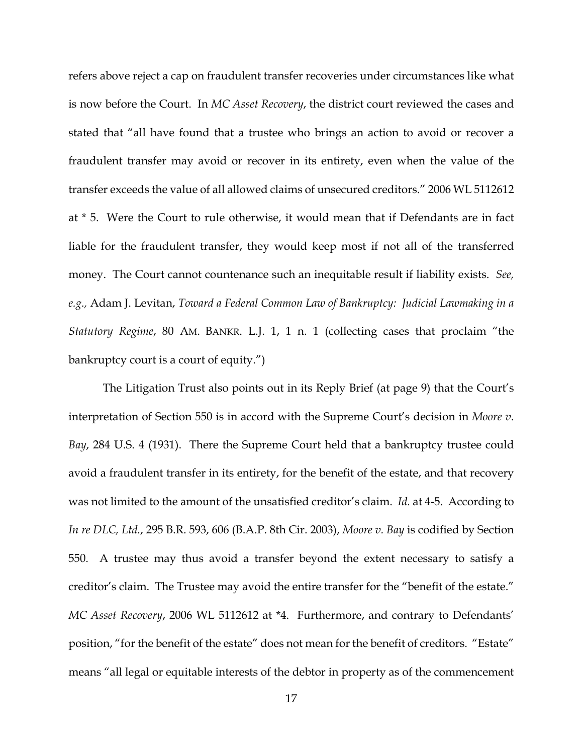refers above reject a cap on fraudulent transfer recoveries under circumstances like what is now before the Court. In *MC Asset Recovery*, the district court reviewed the cases and stated that "all have found that a trustee who brings an action to avoid or recover a fraudulent transfer may avoid or recover in its entirety, even when the value of the transfer exceeds the value of all allowed claims of unsecured creditors." 2006 WL 5112612 at \* 5. Were the Court to rule otherwise, it would mean that if Defendants are in fact liable for the fraudulent transfer, they would keep most if not all of the transferred money. The Court cannot countenance such an inequitable result if liability exists. *See, e.g.,* Adam J. Levitan, *Toward a Federal Common Law of Bankruptcy: Judicial Lawmaking in a Statutory Regime*, 80 AM. BANKR. L.J. 1, 1 n. 1 (collecting cases that proclaim "the bankruptcy court is a court of equity.")

 The Litigation Trust also points out in its Reply Brief (at page 9) that the Court's interpretation of Section 550 is in accord with the Supreme Court's decision in *Moore v. Bay*, 284 U.S. 4 (1931). There the Supreme Court held that a bankruptcy trustee could avoid a fraudulent transfer in its entirety, for the benefit of the estate, and that recovery was not limited to the amount of the unsatisfied creditor's claim. *Id.* at 4-5. According to *In re DLC, Ltd.*, 295 B.R. 593, 606 (B.A.P. 8th Cir. 2003), *Moore v. Bay* is codified by Section 550. A trustee may thus avoid a transfer beyond the extent necessary to satisfy a creditor's claim. The Trustee may avoid the entire transfer for the "benefit of the estate." *MC Asset Recovery*, 2006 WL 5112612 at \*4. Furthermore, and contrary to Defendants' position, "for the benefit of the estate" does not mean for the benefit of creditors. "Estate" means "all legal or equitable interests of the debtor in property as of the commencement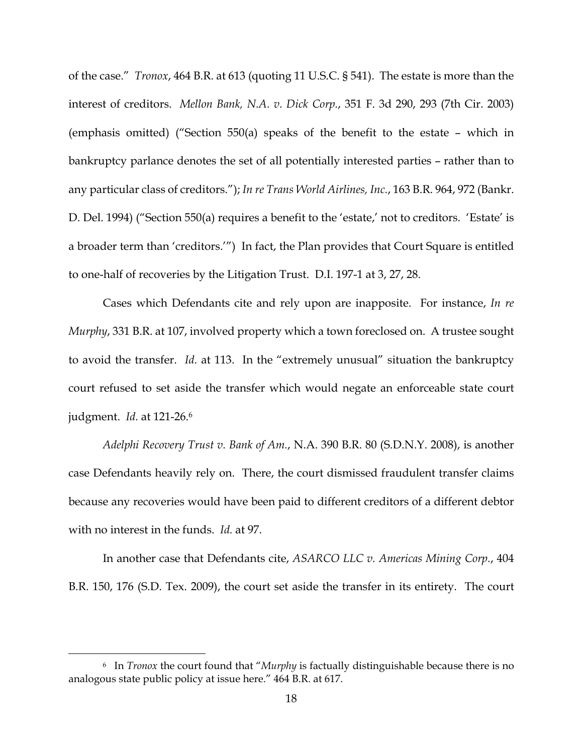of the case." *Tronox*, 464 B.R. at 613 (quoting 11 U.S.C. § 541). The estate is more than the interest of creditors. *Mellon Bank, N.A. v. Dick Corp.*, 351 F. 3d 290, 293 (7th Cir. 2003) (emphasis omitted) ("Section 550(a) speaks of the benefit to the estate – which in bankruptcy parlance denotes the set of all potentially interested parties – rather than to any particular class of creditors."); *In re Trans World Airlines, Inc.*, 163 B.R. 964, 972 (Bankr. D. Del. 1994) ("Section 550(a) requires a benefit to the 'estate,' not to creditors. 'Estate' is a broader term than 'creditors.'") In fact, the Plan provides that Court Square is entitled to one-half of recoveries by the Litigation Trust. D.I. 197-1 at 3, 27, 28.

 Cases which Defendants cite and rely upon are inapposite. For instance, *In re Murphy*, 331 B.R. at 107, involved property which a town foreclosed on. A trustee sought to avoid the transfer. *Id.* at 113. In the "extremely unusual" situation the bankruptcy court refused to set aside the transfer which would negate an enforceable state court judgment. *Id.* at 121-26.6

*Adelphi Recovery Trust v. Bank of Am.*, N.A. 390 B.R. 80 (S.D.N.Y. 2008), is another case Defendants heavily rely on. There, the court dismissed fraudulent transfer claims because any recoveries would have been paid to different creditors of a different debtor with no interest in the funds. *Id.* at 97.

 In another case that Defendants cite, *ASARCO LLC v. Americas Mining Corp.*, 404 B.R. 150, 176 (S.D. Tex. 2009), the court set aside the transfer in its entirety. The court

 <sup>6</sup> In *Tronox* the court found that "*Murphy* is factually distinguishable because there is no analogous state public policy at issue here." 464 B.R. at 617.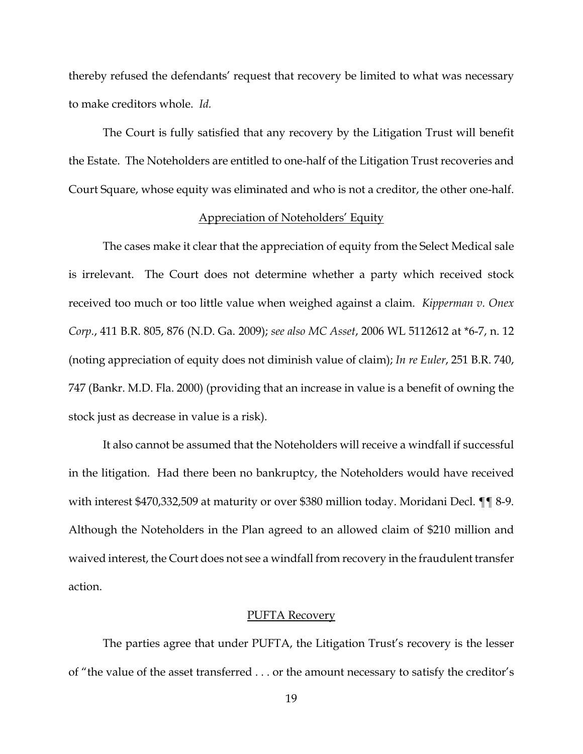thereby refused the defendants' request that recovery be limited to what was necessary to make creditors whole. *Id.*

 The Court is fully satisfied that any recovery by the Litigation Trust will benefit the Estate. The Noteholders are entitled to one-half of the Litigation Trust recoveries and Court Square, whose equity was eliminated and who is not a creditor, the other one-half.

## Appreciation of Noteholders' Equity

 The cases make it clear that the appreciation of equity from the Select Medical sale is irrelevant. The Court does not determine whether a party which received stock received too much or too little value when weighed against a claim. *Kipperman v. Onex Corp.*, 411 B.R. 805, 876 (N.D. Ga. 2009); *see also MC Asset*, 2006 WL 5112612 at \*6-7, n. 12 (noting appreciation of equity does not diminish value of claim); *In re Euler*, 251 B.R. 740, 747 (Bankr. M.D. Fla. 2000) (providing that an increase in value is a benefit of owning the stock just as decrease in value is a risk).

 It also cannot be assumed that the Noteholders will receive a windfall if successful in the litigation. Had there been no bankruptcy, the Noteholders would have received with interest \$470,332,509 at maturity or over \$380 million today. Moridani Decl. ¶¶ 8-9. Although the Noteholders in the Plan agreed to an allowed claim of \$210 million and waived interest, the Court does not see a windfall from recovery in the fraudulent transfer action.

#### PUFTA Recovery

 The parties agree that under PUFTA, the Litigation Trust's recovery is the lesser of "the value of the asset transferred . . . or the amount necessary to satisfy the creditor's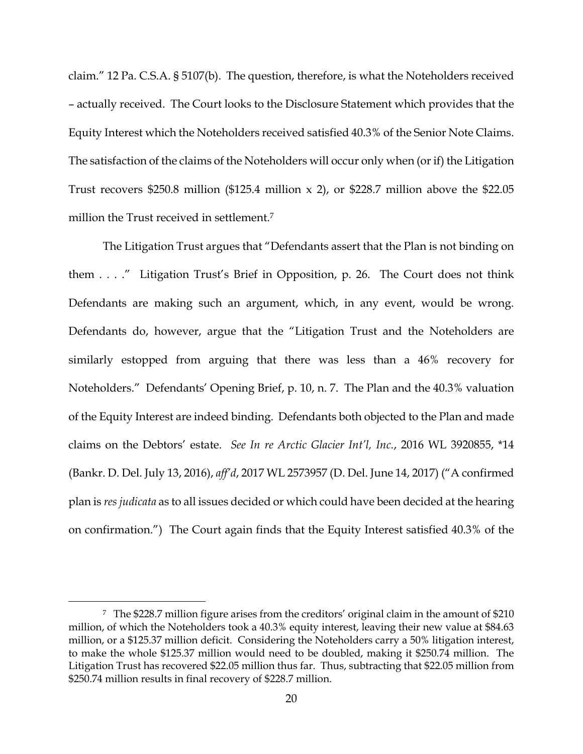claim." 12 Pa. C.S.A. § 5107(b). The question, therefore, is what the Noteholders received – actually received. The Court looks to the Disclosure Statement which provides that the Equity Interest which the Noteholders received satisfied 40.3% of the Senior Note Claims. The satisfaction of the claims of the Noteholders will occur only when (or if) the Litigation Trust recovers \$250.8 million (\$125.4 million  $x$  2), or \$228.7 million above the \$22.05 million the Trust received in settlement.7

 The Litigation Trust argues that "Defendants assert that the Plan is not binding on them . . . ." Litigation Trust's Brief in Opposition, p. 26. The Court does not think Defendants are making such an argument, which, in any event, would be wrong. Defendants do, however, argue that the "Litigation Trust and the Noteholders are similarly estopped from arguing that there was less than a 46% recovery for Noteholders." Defendants' Opening Brief, p. 10, n. 7. The Plan and the 40.3% valuation of the Equity Interest are indeed binding. Defendants both objected to the Plan and made claims on the Debtors' estate. *See In re Arctic Glacier Int'l, Inc.*, 2016 WL 3920855, \*14 (Bankr. D. Del. July 13, 2016), *aff'd*, 2017 WL 2573957 (D. Del. June 14, 2017) ("A confirmed plan is *res judicata* as to all issues decided or which could have been decided at the hearing on confirmation.") The Court again finds that the Equity Interest satisfied 40.3% of the

 <sup>7</sup> The \$228.7 million figure arises from the creditors' original claim in the amount of \$210 million, of which the Noteholders took a 40.3% equity interest, leaving their new value at \$84.63 million, or a \$125.37 million deficit. Considering the Noteholders carry a 50% litigation interest, to make the whole \$125.37 million would need to be doubled, making it \$250.74 million. The Litigation Trust has recovered \$22.05 million thus far. Thus, subtracting that \$22.05 million from \$250.74 million results in final recovery of \$228.7 million.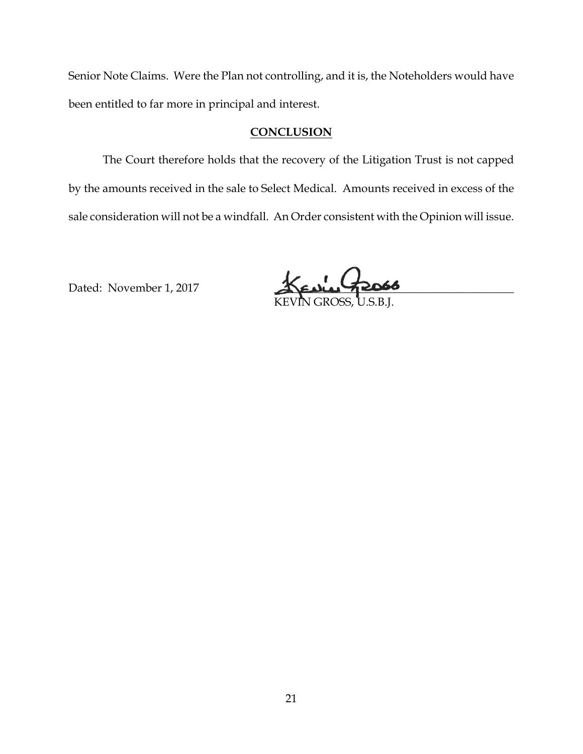Senior Note Claims. Were the Plan not controlling, and it is, the Noteholders would have been entitled to far more in principal and interest.

# **CONCLUSION**

 The Court therefore holds that the recovery of the Litigation Trust is not capped by the amounts received in the sale to Select Medical. Amounts received in excess of the sale consideration will not be a windfall. An Order consistent with the Opinion will issue.

Dated: November 1, 2017 KENLIC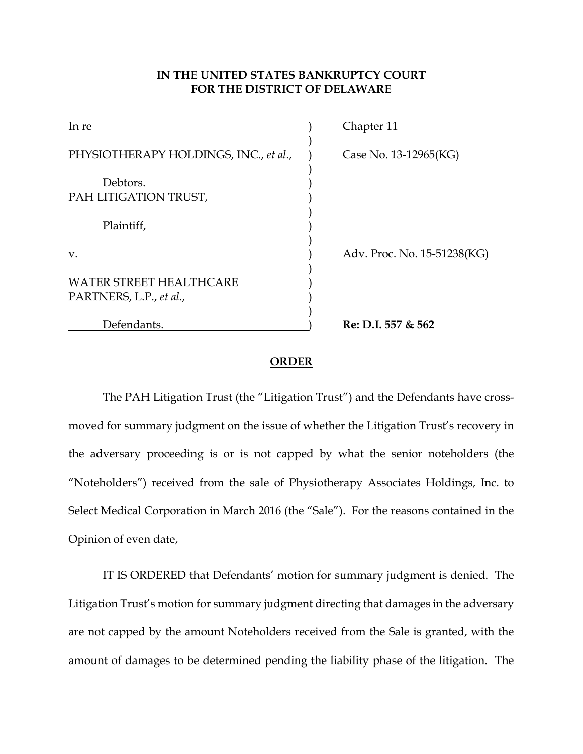# **IN THE UNITED STATES BANKRUPTCY COURT FOR THE DISTRICT OF DELAWARE**

| In re                                                     | Chapter 11                  |
|-----------------------------------------------------------|-----------------------------|
| PHYSIOTHERAPY HOLDINGS, INC., et al.,                     | Case No. 13-12965(KG)       |
| Debtors.                                                  |                             |
| PAH LITIGATION TRUST,                                     |                             |
| Plaintiff,                                                |                             |
| V.                                                        | Adv. Proc. No. 15-51238(KG) |
| <b>WATER STREET HEALTHCARE</b><br>PARTNERS, L.P., et al., |                             |
| Defendants.                                               | Re: D.I. 557 & 562          |

## **ORDER**

 The PAH Litigation Trust (the "Litigation Trust") and the Defendants have crossmoved for summary judgment on the issue of whether the Litigation Trust's recovery in the adversary proceeding is or is not capped by what the senior noteholders (the "Noteholders") received from the sale of Physiotherapy Associates Holdings, Inc. to Select Medical Corporation in March 2016 (the "Sale"). For the reasons contained in the Opinion of even date,

 IT IS ORDERED that Defendants' motion for summary judgment is denied. The Litigation Trust's motion for summary judgment directing that damages in the adversary are not capped by the amount Noteholders received from the Sale is granted, with the amount of damages to be determined pending the liability phase of the litigation. The